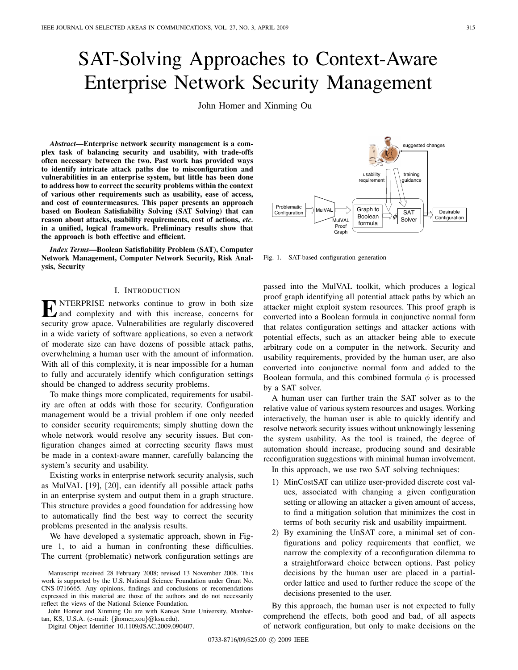# SAT-Solving Approaches to Context-Aware Enterprise Network Security Management

John Homer and Xinming Ou

*Abstract***—Enterprise network security management is a complex task of balancing security and usability, with trade-offs often necessary between the two. Past work has provided ways to identify intricate attack paths due to misconfiguration and vulnerabilities in an enterprise system, but little has been done to address how to correct the security problems within the context of various other requirements such as usability, ease of access, and cost of countermeasures. This paper presents an approach based on Boolean Satisfiability Solving (SAT Solving) that can reason about attacks, usability requirements, cost of actions,** *etc.* **in a unified, logical framework. Preliminary results show that the approach is both effective and efficient.**

*Index Terms***—Boolean Satisfiability Problem (SAT), Computer Network Management, Computer Network Security, Risk Analysis, Security**

#### I. INTRODUCTION

**E** NTERPRISE networks continue to grow in both size<br>and complexity and with this increase, concerns for security grow apace. Vulnerabilities are regularly discovered in a wide variety of software applications, so even a network of moderate size can have dozens of possible attack paths, overwhelming a human user with the amount of information. With all of this complexity, it is near impossible for a human to fully and accurately identify which configuration settings should be changed to address security problems.

To make things more complicated, requirements for usability are often at odds with those for security. Configuration management would be a trivial problem if one only needed to consider security requirements; simply shutting down the whole network would resolve any security issues. But configuration changes aimed at correcting security flaws must be made in a context-aware manner, carefully balancing the system's security and usability.

Existing works in enterprise network security analysis, such as MulVAL [19], [20], can identify all possible attack paths in an enterprise system and output them in a graph structure. This structure provides a good foundation for addressing how to automatically find the best way to correct the security problems presented in the analysis results.

We have developed a systematic approach, shown in Figure 1, to aid a human in confronting these difficulties. The current (problematic) network configuration settings are

John Homer and Xinming Ou are with Kansas State University, Manhattan, KS, U.S.A. (e-mail: {jhomer,xou}@ksu.edu).

Digital Object Identifier 10.1109/JSAC.2009.090407.



Fig. 1. SAT-based configuration generation

passed into the MulVAL toolkit, which produces a logical proof graph identifying all potential attack paths by which an attacker might exploit system resources. This proof graph is converted into a Boolean formula in conjunctive normal form that relates configuration settings and attacker actions with potential effects, such as an attacker being able to execute arbitrary code on a computer in the network. Security and usability requirements, provided by the human user, are also converted into conjunctive normal form and added to the Boolean formula, and this combined formula  $\phi$  is processed by a SAT solver.

A human user can further train the SAT solver as to the relative value of various system resources and usages. Working interactively, the human user is able to quickly identify and resolve network security issues without unknowingly lessening the system usability. As the tool is trained, the degree of automation should increase, producing sound and desirable reconfiguration suggestions with minimal human involvement.

In this approach, we use two SAT solving techniques:

- 1) MinCostSAT can utilize user-provided discrete cost values, associated with changing a given configuration setting or allowing an attacker a given amount of access, to find a mitigation solution that minimizes the cost in terms of both security risk and usability impairment.
- 2) By examining the UnSAT core, a minimal set of configurations and policy requirements that conflict, we narrow the complexity of a reconfiguration dilemma to a straightforward choice between options. Past policy decisions by the human user are placed in a partialorder lattice and used to further reduce the scope of the decisions presented to the user.

By this approach, the human user is not expected to fully comprehend the effects, both good and bad, of all aspects of network configuration, but only to make decisions on the

Manuscript received 28 February 2008; revised 13 November 2008. This work is supported by the U.S. National Science Foundation under Grant No. CNS-0716665. Any opinions, findings and conclusions or recomendations expressed in this material are those of the authors and do not necessarily reflect the views of the National Science Foundation.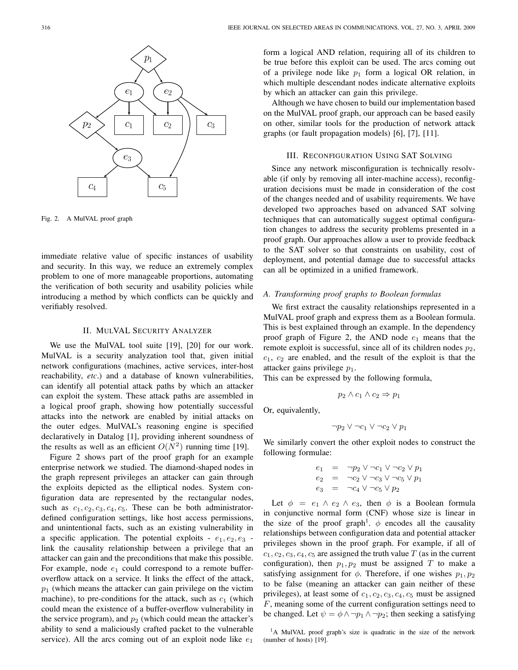

Fig. 2. A MulVAL proof graph

immediate relative value of specific instances of usability and security. In this way, we reduce an extremely complex problem to one of more manageable proportions, automating the verification of both security and usability policies while introducing a method by which conflicts can be quickly and verifiably resolved.

#### II. MULVAL SECURITY ANALYZER

We use the MulVAL tool suite [19], [20] for our work. MulVAL is a security analyzation tool that, given initial network configurations (machines, active services, inter-host reachability, *etc*.) and a database of known vulnerabilities, can identify all potential attack paths by which an attacker can exploit the system. These attack paths are assembled in a logical proof graph, showing how potentially successful attacks into the network are enabled by initial attacks on the outer edges. MulVAL's reasoning engine is specified declaratively in Datalog [1], providing inherent soundness of the results as well as an efficient  $O(N^2)$  running time [19].

Figure 2 shows part of the proof graph for an example enterprise network we studied. The diamond-shaped nodes in the graph represent privileges an attacker can gain through the exploits depicted as the elliptical nodes. System configuration data are represented by the rectangular nodes, such as  $c_1, c_2, c_3, c_4, c_5$ . These can be both administratordefined configuration settings, like host access permissions, and unintentional facts, such as an existing vulnerability in a specific application. The potential exploits -  $e_1, e_2, e_3$  link the causality relationship between a privilege that an attacker can gain and the preconditions that make this possible. For example, node  $e_1$  could correspond to a remote bufferoverflow attack on a service. It links the effect of the attack,  $p_1$  (which means the attacker can gain privilege on the victim machine), to pre-conditions for the attack, such as  $c_1$  (which could mean the existence of a buffer-overflow vulnerability in the service program), and  $p_2$  (which could mean the attacker's ability to send a maliciously crafted packet to the vulnerable service). All the arcs coming out of an exploit node like  $e_1$ 

form a logical AND relation, requiring all of its children to be true before this exploit can be used. The arcs coming out of a privilege node like  $p_1$  form a logical OR relation, in which multiple descendant nodes indicate alternative exploits by which an attacker can gain this privilege.

Although we have chosen to build our implementation based on the MulVAL proof graph, our approach can be based easily on other, similar tools for the production of network attack graphs (or fault propagation models) [6], [7], [11].

#### III. RECONFIGURATION USING SAT SOLVING

Since any network misconfiguration is technically resolvable (if only by removing all inter-machine access), reconfiguration decisions must be made in consideration of the cost of the changes needed and of usability requirements. We have developed two approaches based on advanced SAT solving techniques that can automatically suggest optimal configuration changes to address the security problems presented in a proof graph. Our approaches allow a user to provide feedback to the SAT solver so that constraints on usability, cost of deployment, and potential damage due to successful attacks can all be optimized in a unified framework.

### *A. Transforming proof graphs to Boolean formulas*

We first extract the causality relationships represented in a MulVAL proof graph and express them as a Boolean formula. This is best explained through an example. In the dependency proof graph of Figure 2, the AND node  $e_1$  means that the remote exploit is successful, since all of its children nodes  $p_2$ ,  $c_1$ ,  $c_2$  are enabled, and the result of the exploit is that the attacker gains privilege  $p_1$ .

This can be expressed by the following formula,

$$
p_2 \wedge c_1 \wedge c_2 \Rightarrow p_1
$$

Or, equivalently,

$$
\neg p_2 \vee \neg c_1 \vee \neg c_2 \vee p_1
$$

We similarly convert the other exploit nodes to construct the following formulae:

$$
e_1 = \neg p_2 \lor \neg c_1 \lor \neg c_2 \lor p_1
$$
  
\n
$$
e_2 = \neg c_2 \lor \neg c_3 \lor \neg c_5 \lor p_1
$$
  
\n
$$
e_3 = \neg c_4 \lor \neg c_5 \lor p_2
$$

Let  $\phi = e_1 \wedge e_2 \wedge e_3$ , then  $\phi$  is a Boolean formula in conjunctive normal form (CNF) whose size is linear in the size of the proof graph<sup>1</sup>.  $\phi$  encodes all the causality relationships between configuration data and potential attacker privileges shown in the proof graph. For example, if all of  $c_1, c_2, c_3, c_4, c_5$  are assigned the truth value T (as in the current configuration), then  $p_1, p_2$  must be assigned T to make a satisfying assignment for  $\phi$ . Therefore, if one wishes  $p_1, p_2$ to be false (meaning an attacker can gain neither of these privileges), at least some of  $c_1$ ,  $c_2$ ,  $c_3$ ,  $c_4$ ,  $c_5$  must be assigned F, meaning some of the current configuration settings need to be changed. Let  $\psi = \phi \land \neg p_1 \land \neg p_2$ ; then seeking a satisfying

<sup>1</sup>A MulVAL proof graph's size is quadratic in the size of the network (number of hosts) [19].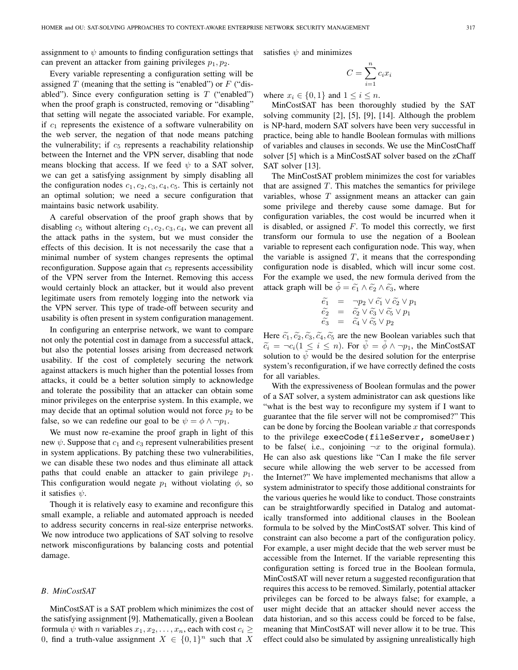assignment to  $\psi$  amounts to finding configuration settings that can prevent an attacker from gaining privileges  $p_1, p_2$ .

Every variable representing a configuration setting will be assigned  $T$  (meaning that the setting is "enabled") or  $F$  ("disabled"). Since every configuration setting is  $T$  ("enabled") when the proof graph is constructed, removing or "disabling" that setting will negate the associated variable. For example, if  $c_1$  represents the existence of a software vulnerability on the web server, the negation of that node means patching the vulnerability; if  $c<sub>5</sub>$  represents a reachability relationship between the Internet and the VPN server, disabling that node means blocking that access. If we feed  $\psi$  to a SAT solver, we can get a satisfying assignment by simply disabling all the configuration nodes  $c_1, c_2, c_3, c_4, c_5$ . This is certainly not an optimal solution; we need a secure configuration that maintains basic network usability.

A careful observation of the proof graph shows that by disabling  $c_5$  without altering  $c_1, c_2, c_3, c_4$ , we can prevent all the attack paths in the system, but we must consider the effects of this decision. It is not necessarily the case that a minimal number of system changes represents the optimal reconfiguration. Suppose again that  $c<sub>5</sub>$  represents accessibility of the VPN server from the Internet. Removing this access would certainly block an attacker, but it would also prevent legitimate users from remotely logging into the network via the VPN server. This type of trade-off between security and usability is often present in system configuration management.

In configuring an enterprise network, we want to compare not only the potential cost in damage from a successful attack, but also the potential losses arising from decreased network usability. If the cost of completely securing the network against attackers is much higher than the potential losses from attacks, it could be a better solution simply to acknowledge and tolerate the possibility that an attacker can obtain some minor privileges on the enterprise system. In this example, we may decide that an optimal solution would not force  $p_2$  to be false, so we can redefine our goal to be  $\psi = \phi \wedge \neg p_1$ .

We must now re-examine the proof graph in light of this new  $\psi$ . Suppose that  $c_1$  and  $c_3$  represent vulnerabilities present in system applications. By patching these two vulnerabilities, we can disable these two nodes and thus eliminate all attack paths that could enable an attacker to gain privilege  $p_1$ . This configuration would negate  $p_1$  without violating  $\phi$ , so it satisfies  $\psi$ .

Though it is relatively easy to examine and reconfigure this small example, a reliable and automated approach is needed to address security concerns in real-size enterprise networks. We now introduce two applications of SAT solving to resolve network misconfigurations by balancing costs and potential damage.

#### *B. MinCostSAT*

MinCostSAT is a SAT problem which minimizes the cost of the satisfying assignment [9]. Mathematically, given a Boolean formula  $\psi$  with *n* variables  $x_1, x_2, \ldots, x_n$ , each with cost  $c_i \geq$ 0, find a truth-value assignment  $X \in \{0,1\}^n$  such that X

satisfies  $\psi$  and minimizes

$$
C = \sum_{i=1}^{n} c_i x_i
$$

where  $x_i \in \{0, 1\}$  and  $1 \leq i \leq n$ .

MinCostSAT has been thoroughly studied by the SAT solving community [2], [5], [9], [14]. Although the problem is NP-hard, modern SAT solvers have been very successful in practice, being able to handle Boolean formulas with millions of variables and clauses in seconds. We use the MinCostChaff solver [5] which is a MinCostSAT solver based on the zChaff SAT solver [13].

The MinCostSAT problem minimizes the cost for variables that are assigned  $T$ . This matches the semantics for privilege variables, whose  $T$  assignment means an attacker can gain some privilege and thereby cause some damage. But for configuration variables, the cost would be incurred when it is disabled, or assigned  $F$ . To model this correctly, we first transform our formula to use the negation of a Boolean variable to represent each configuration node. This way, when the variable is assigned  $T$ , it means that the corresponding configuration node is disabled, which will incur some cost. For the example we used, the new formula derived from the attack graph will be  $\phi = \tilde{e_1} \wedge \tilde{e_2} \wedge \tilde{e_3}$ , where

$$
\begin{array}{rcl}\n\widetilde{e_1} & = & \neg p_2 \lor \widetilde{c_1} \lor \widetilde{c_2} \lor p_1 \\
\widetilde{e_2} & = & \widetilde{c_2} \lor \widetilde{c_3} \lor \widetilde{c_5} \lor p_1 \\
\widetilde{e_3} & = & \widetilde{c_4} \lor \widetilde{c_5} \lor p_2\n\end{array}
$$

Here  $\tilde{c}_1, \tilde{c}_2, \tilde{c}_3, \tilde{c}_4, \tilde{c}_5$  are the new Boolean variables such that  $\widetilde{c}_i = \neg c_i (1 \leq i \leq n)$ . For  $\tilde{\psi} = \tilde{\phi} \land \neg p_1$ , the MinCostSAT solution to  $\psi$  would be the desired solution for the enterprise system's reconfiguration, if we have correctly defined the costs for all variables.

With the expressiveness of Boolean formulas and the power of a SAT solver, a system administrator can ask questions like "what is the best way to reconfigure my system if I want to guarantee that the file server will not be compromised?" This can be done by forcing the Boolean variable  $x$  that corresponds to the privilege execCode(fileServer, someUser) to be false( i.e., conjoining  $\neg x$  to the original formula). He can also ask questions like "Can I make the file server secure while allowing the web server to be accessed from the Internet?" We have implemented mechanisms that allow a system administrator to specify those additional constraints for the various queries he would like to conduct. Those constraints can be straightforwardly specified in Datalog and automatically transformed into additional clauses in the Boolean formula to be solved by the MinCostSAT solver. This kind of constraint can also become a part of the configuration policy. For example, a user might decide that the web server must be accessible from the Internet. If the variable representing this configuration setting is forced true in the Boolean formula, MinCostSAT will never return a suggested reconfiguration that requires this access to be removed. Similarly, potential attacker privileges can be forced to be always false; for example, a user might decide that an attacker should never access the data historian, and so this access could be forced to be false, meaning that MinCostSAT will never allow it to be true. This effect could also be simulated by assigning unrealistically high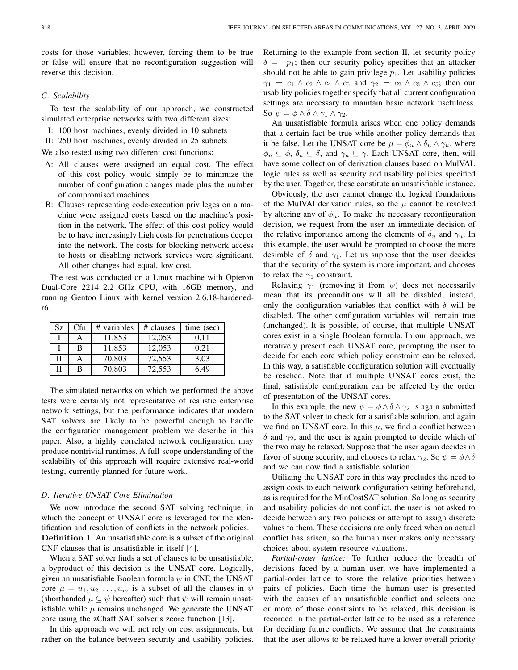costs for those variables; however, forcing them to be true or false will ensure that no reconfiguration suggestion will reverse this decision.

# *C. Scalability*

To test the scalability of our approach, we constructed simulated enterprise networks with two different sizes:

- I: 100 host machines, evenly divided in 10 subnets
- II: 250 host machines, evenly divided in 25 subnets

We also tested using two different cost functions:

- A: All clauses were assigned an equal cost. The effect of this cost policy would simply be to minimize the number of configuration changes made plus the number of compromised machines.
- B: Clauses representing code-execution privileges on a machine were assigned costs based on the machine's position in the network. The effect of this cost policy would be to have increasingly high costs for penetrations deeper into the network. The costs for blocking network access to hosts or disabling network services were significant. All other changes had equal, low cost.

The test was conducted on a Linux machine with Opteron Dual-Core 2214 2.2 GHz CPU, with 16GB memory, and running Gentoo Linux with kernel version 2.6.18-hardenedr6.

| Sz. | Cfn | # variables | # clauses | time (sec) |
|-----|-----|-------------|-----------|------------|
|     |     | 11,853      | 12,053    | 0.11       |
|     | в   | 11,853      | 12,053    | 0.21       |
| П   |     | 70,803      | 72,553    | 3.03       |
| Н   | в   | 70,803      | 72,553    | 6.49       |

The simulated networks on which we performed the above tests were certainly not representative of realistic enterprise network settings, but the performance indicates that modern SAT solvers are likely to be powerful enough to handle the configuration management problem we describe in this paper. Also, a highly correlated network configuration may produce nontrivial runtimes. A full-scope understanding of the scalability of this approach will require extensive real-world testing, currently planned for future work.

# *D. Iterative UNSAT Core Elimination*

We now introduce the second SAT solving technique, in which the concept of UNSAT core is leveraged for the identification and resolution of conflicts in the network policies. **Definition 1**. An unsatisfiable core is a subset of the original CNF clauses that is unsatisfiable in itself [4].

When a SAT solver finds a set of clauses to be unsatisfiable, a byproduct of this decision is the UNSAT core. Logically, given an unsatisfiable Boolean formula  $\psi$  in CNF, the UNSAT core  $\mu = u_1, u_2, \dots, u_m$  is a subset of all the clauses in  $\psi$ (shorthanded  $\mu \subseteq \psi$  hereafter) such that  $\psi$  will remain unsatisfiable while  $\mu$  remains unchanged. We generate the UNSAT core using the zChaff SAT solver's zcore function [13].

In this approach we will not rely on cost assignments, but rather on the balance between security and usability policies.

Returning to the example from section II, let security policy  $\delta = \neg p_1$ ; then our security policy specifies that an attacker should not be able to gain privilege  $p_1$ . Let usability policies  $\gamma_1 = c_1 \wedge c_2 \wedge c_4 \wedge c_5$  and  $\gamma_2 = c_2 \wedge c_3 \wedge c_5$ ; then our usability policies together specify that all current configuration settings are necessary to maintain basic network usefulness. So  $\psi = \phi \wedge \delta \wedge \gamma_1 \wedge \gamma_2$ .

An unsatisfiable formula arises when one policy demands that a certain fact be true while another policy demands that it be false. Let the UNSAT core be  $\mu = \phi_u \wedge \delta_u \wedge \gamma_u$ , where  $\phi_u \subseteq \phi$ ,  $\delta_u \subseteq \delta$ , and  $\gamma_u \subseteq \gamma$ . Each UNSAT core, then, will have some collection of derivation clauses based on MulVAL logic rules as well as security and usability policies specified by the user. Together, these constitute an unsatisfiable instance.

Obviously, the user cannot change the logical foundations of the MulVAl derivation rules, so the  $\mu$  cannot be resolved by altering any of  $\phi_u$ . To make the necessary reconfiguration decision, we request from the user an immediate decision of the relative importance among the elements of  $\delta_u$  and  $\gamma_u$ . In this example, the user would be prompted to choose the more desirable of  $\delta$  and  $\gamma_1$ . Let us suppose that the user decides that the security of the system is more important, and chooses to relax the  $\gamma_1$  constraint.

Relaxing  $\gamma_1$  (removing it from  $\psi$ ) does not necessarily mean that its preconditions will all be disabled; instead, only the configuration variables that conflict with  $\delta$  will be disabled. The other configuration variables will remain true (unchanged). It is possible, of course, that multiple UNSAT cores exist in a single Boolean formula. In our approach, we iteratively present each UNSAT core, prompting the user to decide for each core which policy constraint can be relaxed. In this way, a satisfiable configuration solution will eventually be reached. Note that if multiple UNSAT cores exist, the final, satisfiable configuration can be affected by the order of presentation of the UNSAT cores.

In this example, the new  $\psi = \phi \wedge \delta \wedge \gamma_2$  is again submitted to the SAT solver to check for a satisfiable solution, and again we find an UNSAT core. In this  $\mu$ , we find a conflict between  $\delta$  and  $\gamma_2$ , and the user is again prompted to decide which of the two may be relaxed. Suppose that the user again decides in favor of strong security, and chooses to relax  $\gamma_2$ . So  $\psi = \phi \wedge \delta$ and we can now find a satisfiable solution.

Utilizing the UNSAT core in this way precludes the need to assign costs to each network configuration setting beforehand, as is required for the MinCostSAT solution. So long as security and usability policies do not conflict, the user is not asked to decide between any two policies or attempt to assign discrete values to them. These decisions are only faced when an actual conflict has arisen, so the human user makes only necessary choices about system resource valuations.

*Partial-order lattice:* To further reduce the breadth of decisions faced by a human user, we have implemented a partial-order lattice to store the relative priorities between pairs of policies. Each time the human user is presented with the causes of an unsatisfiable conflict and selects one or more of those constraints to be relaxed, this decision is recorded in the partial-order lattice to be used as a reference for deciding future conflicts. We assume that the constraints that the user allows to be relaxed have a lower overall priority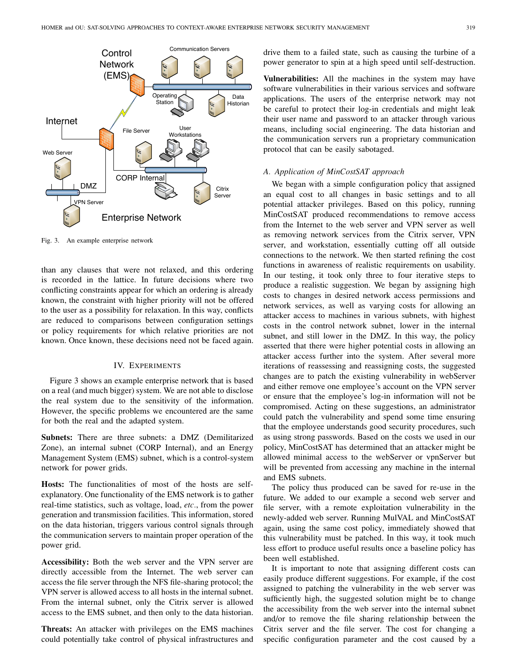

Fig. 3. An example enterprise network

than any clauses that were not relaxed, and this ordering is recorded in the lattice. In future decisions where two conflicting constraints appear for which an ordering is already known, the constraint with higher priority will not be offered to the user as a possibility for relaxation. In this way, conflicts are reduced to comparisons between configuration settings or policy requirements for which relative priorities are not known. Once known, these decisions need not be faced again.

#### IV. EXPERIMENTS

Figure 3 shows an example enterprise network that is based on a real (and much bigger) system. We are not able to disclose the real system due to the sensitivity of the information. However, the specific problems we encountered are the same for both the real and the adapted system.

**Subnets:** There are three subnets: a DMZ (Demilitarized Zone), an internal subnet (CORP Internal), and an Energy Management System (EMS) subnet, which is a control-system network for power grids.

**Hosts:** The functionalities of most of the hosts are selfexplanatory. One functionality of the EMS network is to gather real-time statistics, such as voltage, load, *etc.*, from the power generation and transmission facilities. This information, stored on the data historian, triggers various control signals through the communication servers to maintain proper operation of the power grid.

**Accessibility:** Both the web server and the VPN server are directly accessible from the Internet. The web server can access the file server through the NFS file-sharing protocol; the VPN server is allowed access to all hosts in the internal subnet. From the internal subnet, only the Citrix server is allowed access to the EMS subnet, and then only to the data historian.

**Threats:** An attacker with privileges on the EMS machines could potentially take control of physical infrastructures and drive them to a failed state, such as causing the turbine of a power generator to spin at a high speed until self-destruction.

**Vulnerabilities:** All the machines in the system may have software vulnerabilities in their various services and software applications. The users of the enterprise network may not be careful to protect their log-in credentials and might leak their user name and password to an attacker through various means, including social engineering. The data historian and the communication servers run a proprietary communication protocol that can be easily sabotaged.

# *A. Application of MinCostSAT approach*

We began with a simple configuration policy that assigned an equal cost to all changes in basic settings and to all potential attacker privileges. Based on this policy, running MinCostSAT produced recommendations to remove access from the Internet to the web server and VPN server as well as removing network services from the Citrix server, VPN server, and workstation, essentially cutting off all outside connections to the network. We then started refining the cost functions in awareness of realistic requirements on usability. In our testing, it took only three to four iterative steps to produce a realistic suggestion. We began by assigning high costs to changes in desired network access permissions and network services, as well as varying costs for allowing an attacker access to machines in various subnets, with highest costs in the control network subnet, lower in the internal subnet, and still lower in the DMZ. In this way, the policy asserted that there were higher potential costs in allowing an attacker access further into the system. After several more iterations of reassessing and reassigning costs, the suggested changes are to patch the existing vulnerability in webServer and either remove one employee's account on the VPN server or ensure that the employee's log-in information will not be compromised. Acting on these suggestions, an administrator could patch the vulnerability and spend some time ensuring that the employee understands good security procedures, such as using strong passwords. Based on the costs we used in our policy, MinCostSAT has determined that an attacker might be allowed minimal access to the webServer or vpnServer but will be prevented from accessing any machine in the internal and EMS subnets.

The policy thus produced can be saved for re-use in the future. We added to our example a second web server and file server, with a remote exploitation vulnerability in the newly-added web server. Running MulVAL and MinCostSAT again, using the same cost policy, immediately showed that this vulnerability must be patched. In this way, it took much less effort to produce useful results once a baseline policy has been well established.

It is important to note that assigning different costs can easily produce different suggestions. For example, if the cost assigned to patching the vulnerability in the web server was sufficiently high, the suggested solution might be to change the accessibility from the web server into the internal subnet and/or to remove the file sharing relationship between the Citrix server and the file server. The cost for changing a specific configuration parameter and the cost caused by a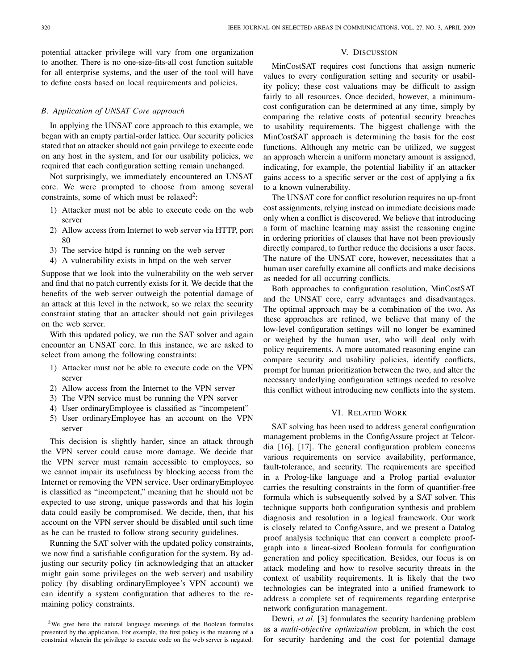potential attacker privilege will vary from one organization to another. There is no one-size-fits-all cost function suitable for all enterprise systems, and the user of the tool will have to define costs based on local requirements and policies.

#### *B. Application of UNSAT Core approach*

In applying the UNSAT core approach to this example, we began with an empty partial-order lattice. Our security policies stated that an attacker should not gain privilege to execute code on any host in the system, and for our usability policies, we required that each configuration setting remain unchanged.

Not surprisingly, we immediately encountered an UNSAT core. We were prompted to choose from among several constraints, some of which must be relaxed<sup>2</sup>:

- 1) Attacker must not be able to execute code on the web server
- 2) Allow access from Internet to web server via HTTP, port 80
- 3) The service httpd is running on the web server
- 4) A vulnerability exists in httpd on the web server

Suppose that we look into the vulnerability on the web server and find that no patch currently exists for it. We decide that the benefits of the web server outweigh the potential damage of an attack at this level in the network, so we relax the security constraint stating that an attacker should not gain privileges on the web server.

With this updated policy, we run the SAT solver and again encounter an UNSAT core. In this instance, we are asked to select from among the following constraints:

- 1) Attacker must not be able to execute code on the VPN server
- 2) Allow access from the Internet to the VPN server
- 3) The VPN service must be running the VPN server
- 4) User ordinaryEmployee is classified as "incompetent"
- 5) User ordinaryEmployee has an account on the VPN server

This decision is slightly harder, since an attack through the VPN server could cause more damage. We decide that the VPN server must remain accessible to employees, so we cannot impair its usefulness by blocking access from the Internet or removing the VPN service. User ordinaryEmployee is classified as "incompetent," meaning that he should not be expected to use strong, unique passwords and that his login data could easily be compromised. We decide, then, that his account on the VPN server should be disabled until such time as he can be trusted to follow strong security guidelines.

Running the SAT solver with the updated policy constraints, we now find a satisfiable configuration for the system. By adjusting our security policy (in acknowledging that an attacker might gain some privileges on the web server) and usability policy (by disabling ordinaryEmployee's VPN account) we can identify a system configuration that adheres to the remaining policy constraints.

2We give here the natural language meanings of the Boolean formulas presented by the application. For example, the first policy is the meaning of a constraint wherein the privilege to execute code on the web server is negated.

#### V. DISCUSSION

MinCostSAT requires cost functions that assign numeric values to every configuration setting and security or usability policy; these cost valuations may be difficult to assign fairly to all resources. Once decided, however, a minimumcost configuration can be determined at any time, simply by comparing the relative costs of potential security breaches to usability requirements. The biggest challenge with the MinCostSAT approach is determining the basis for the cost functions. Although any metric can be utilized, we suggest an approach wherein a uniform monetary amount is assigned, indicating, for example, the potential liability if an attacker gains access to a specific server or the cost of applying a fix to a known vulnerability.

The UNSAT core for conflict resolution requires no up-front cost assignments, relying instead on immediate decisions made only when a conflict is discovered. We believe that introducing a form of machine learning may assist the reasoning engine in ordering priorities of clauses that have not been previously directly compared, to further reduce the decisions a user faces. The nature of the UNSAT core, however, necessitates that a human user carefully examine all conflicts and make decisions as needed for all occurring conflicts.

Both approaches to configuration resolution, MinCostSAT and the UNSAT core, carry advantages and disadvantages. The optimal approach may be a combination of the two. As these approaches are refined, we believe that many of the low-level configuration settings will no longer be examined or weighed by the human user, who will deal only with policy requirements. A more automated reasoning engine can compare security and usability policies, identify conflicts, prompt for human prioritization between the two, and alter the necessary underlying configuration settings needed to resolve this conflict without introducing new conflicts into the system.

## VI. RELATED WORK

SAT solving has been used to address general configuration management problems in the ConfigAssure project at Telcordia [16], [17]. The general configuration problem concerns various requirements on service availability, performance, fault-tolerance, and security. The requirements are specified in a Prolog-like language and a Prolog partial evaluator carries the resulting constraints in the form of quantifier-free formula which is subsequently solved by a SAT solver. This technique supports both configuration synthesis and problem diagnosis and resolution in a logical framework. Our work is closely related to ConfigAssure, and we present a Datalog proof analysis technique that can convert a complete proofgraph into a linear-sized Boolean formula for configuration generation and policy specification. Besides, our focus is on attack modeling and how to resolve security threats in the context of usability requirements. It is likely that the two technologies can be integrated into a unified framework to address a complete set of requirements regarding enterprise network configuration management.

Dewri, *et al.* [3] formulates the security hardening problem as a *multi-objective optimization* problem, in which the cost for security hardening and the cost for potential damage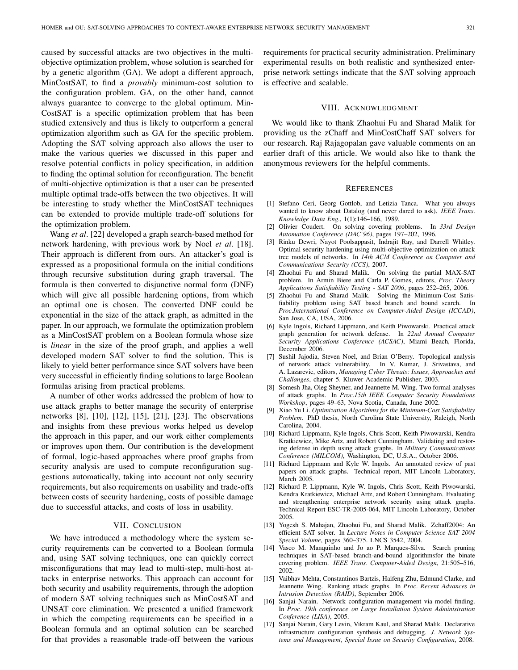caused by successful attacks are two objectives in the multiobjective optimization problem, whose solution is searched for by a genetic algorithm (GA). We adopt a different approach, MinCostSAT, to find a *provably* minimum-cost solution to the configuration problem. GA, on the other hand, cannot always guarantee to converge to the global optimum. Min-CostSAT is a specific optimization problem that has been studied extensively and thus is likely to outperform a general optimization algorithm such as GA for the specific problem. Adopting the SAT solving approach also allows the user to make the various queries we discussed in this paper and resolve potential conflicts in policy specification, in addition to finding the optimal solution for reconfiguration. The benefit of multi-objective optimization is that a user can be presented multiple optimal trade-offs between the two objectives. It will be interesting to study whether the MinCostSAT techniques can be extended to provide multiple trade-off solutions for the optimization problem.

Wang *et al.* [22] developed a graph search-based method for network hardening, with previous work by Noel *et al.* [18]. Their approach is different from ours. An attacker's goal is expressed as a propositional formula on the initial conditions through recursive substitution during graph traversal. The formula is then converted to disjunctive normal form (DNF) which will give all possible hardening options, from which an optimal one is chosen. The converted DNF could be exponential in the size of the attack graph, as admitted in the paper. In our approach, we formulate the optimization problem as a MinCostSAT problem on a Boolean formula whose size is *linear* in the size of the proof graph, and applies a well developed modern SAT solver to find the solution. This is likely to yield better performance since SAT solvers have been very successful in efficiently finding solutions to large Boolean formulas arising from practical problems.

A number of other works addressed the problem of how to use attack graphs to better manage the security of enterprise networks [8], [10], [12], [15], [21], [23]. The observations and insights from these previous works helped us develop the approach in this paper, and our work either complements or improves upon them. Our contribution is the development of formal, logic-based approaches where proof graphs from security analysis are used to compute reconfiguration suggestions automatically, taking into account not only security requirements, but also requirements on usability and trade-offs between costs of security hardening, costs of possible damage due to successful attacks, and costs of loss in usability.

## VII. CONCLUSION

We have introduced a methodology where the system security requirements can be converted to a Boolean formula and, using SAT solving techniques, one can quickly correct misconfigurations that may lead to multi-step, multi-host attacks in enterprise networks. This approach can account for both security and usability requirements, through the adoption of modern SAT solving techniques such as MinCostSAT and UNSAT core elimination. We presented a unified framework in which the competing requirements can be specified in a Boolean formula and an optimal solution can be searched for that provides a reasonable trade-off between the various

requirements for practical security administration. Preliminary experimental results on both realistic and synthesized enterprise network settings indicate that the SAT solving approach is effective and scalable.

#### VIII. ACKNOWLEDGMENT

We would like to thank Zhaohui Fu and Sharad Malik for providing us the zChaff and MinCostChaff SAT solvers for our research. Raj Rajagopalan gave valuable comments on an earlier draft of this article. We would also like to thank the anonymous reviewers for the helpful comments.

#### **REFERENCES**

- [1] Stefano Ceri, Georg Gottlob, and Letizia Tanca. What you always wanted to know about Datalog (and never dared to ask). *IEEE Trans. Knowledge Data Eng.*, 1(1):146–166, 1989.
- [2] Olivier Coudert. On solving covering problems. In *33rd Design Automation Conference (DAC'96)*, pages 197–202, 1996.
- [3] Rinku Dewri, Nayot Poolsappasit, Indrajit Ray, and Darrell Whitley. Optimal security hardening using multi-objective optimization on attack tree models of networks. In *14th ACM Conference on Computer and Communications Security (CCS)*, 2007.
- [4] Zhaohui Fu and Sharad Malik. On solving the partial MAX-SAT problem. In Armin Biere and Carla P. Gomes, editors, *Proc. Theory Applications Satisfiability Testing - SAT 2006*, pages 252–265, 2006.
- [5] Zhaohui Fu and Sharad Malik. Solving the Minimum-Cost Satisfiability problem using SAT based branch and bound search. In *Proc.International Conference on Computer-Aided Design (ICCAD)*, San Jose, CA, USA, 2006.
- [6] Kyle Ingols, Richard Lippmann, and Keith Piwowarski. Practical attack graph generation for network defense. In *22nd Annual Computer Security Applications Conference (ACSAC)*, Miami Beach, Florida, December 2006.
- [7] Sushil Jajodia, Steven Noel, and Brian O'Berry. Topological analysis of network attack vulnerability. In V. Kumar, J. Srivastava, and A. Lazarevic, editors, *Managing Cyber Threats: Issues, Approaches and Challanges*, chapter 5. Kluwer Academic Publisher, 2003.
- [8] Somesh Jha, Oleg Sheyner, and Jeannette M. Wing. Two formal analyses of attack graphs. In *Proc.15th IEEE Computer Security Foundations Workshop*, pages 49–63, Nova Scotia, Canada, June 2002.
- [9] Xiao Yu Li. *Optimization Algorithms for the Minimum-Cost Satisfiability Problem*. PhD thesis, North Carolina State University, Raleigh, North Carolina, 2004.
- [10] Richard Lippmann, Kyle Ingols, Chris Scott, Keith Piwowarski, Kendra Kratkiewicz, Mike Artz, and Robert Cunningham. Validating and restoring defense in depth using attack graphs. In *Military Communications Conference (MILCOM)*, Washington, DC, U.S.A., October 2006.
- [11] Richard Lippmann and Kyle W. Ingols. An annotated review of past papers on attack graphs. Technical report, MIT Lincoln Laboratory, March 2005.
- [12] Richard P. Lippmann, Kyle W. Ingols, Chris Scott, Keith Piwowarski, Kendra Kratkiewicz, Michael Artz, and Robert Cunningham. Evaluating and strengthening enterprise network security using attack graphs. Technical Report ESC-TR-2005-064, MIT Lincoln Laboratory, October 2005.
- [13] Yogesh S. Mahajan, Zhaohui Fu, and Sharad Malik. Zchaff2004: An efficient SAT solver. In *Lecture Notes in Computer Science SAT 2004 Special Volume*, pages 360–375. LNCS 3542, 2004.
- [14] Vasco M. Manquinho and Jo ao P. Marques-Silva. Search pruning techniques in SAT-based branch-and-bound algorithmsfor the binate covering problem. *IEEE Trans. Computer-Aided Design*, 21:505–516, 2002.
- [15] Vaibhav Mehta, Constantinos Bartzis, Haifeng Zhu, Edmund Clarke, and Jeannette Wing. Ranking attack graphs. In *Proc. Recent Advances in Intrusion Detection (RAID)*, September 2006.
- [16] Sanjai Narain. Network configuration management via model finding. In *Proc. 19th conference on Large Installation System Administration Conference (LISA)*, 2005.
- [17] Sanjai Narain, Gary Levin, Vikram Kaul, and Sharad Malik. Declarative infrastructure configuration synthesis and debugging. *J. Network Systems and Management, Special Issue on Security Configuration*, 2008.